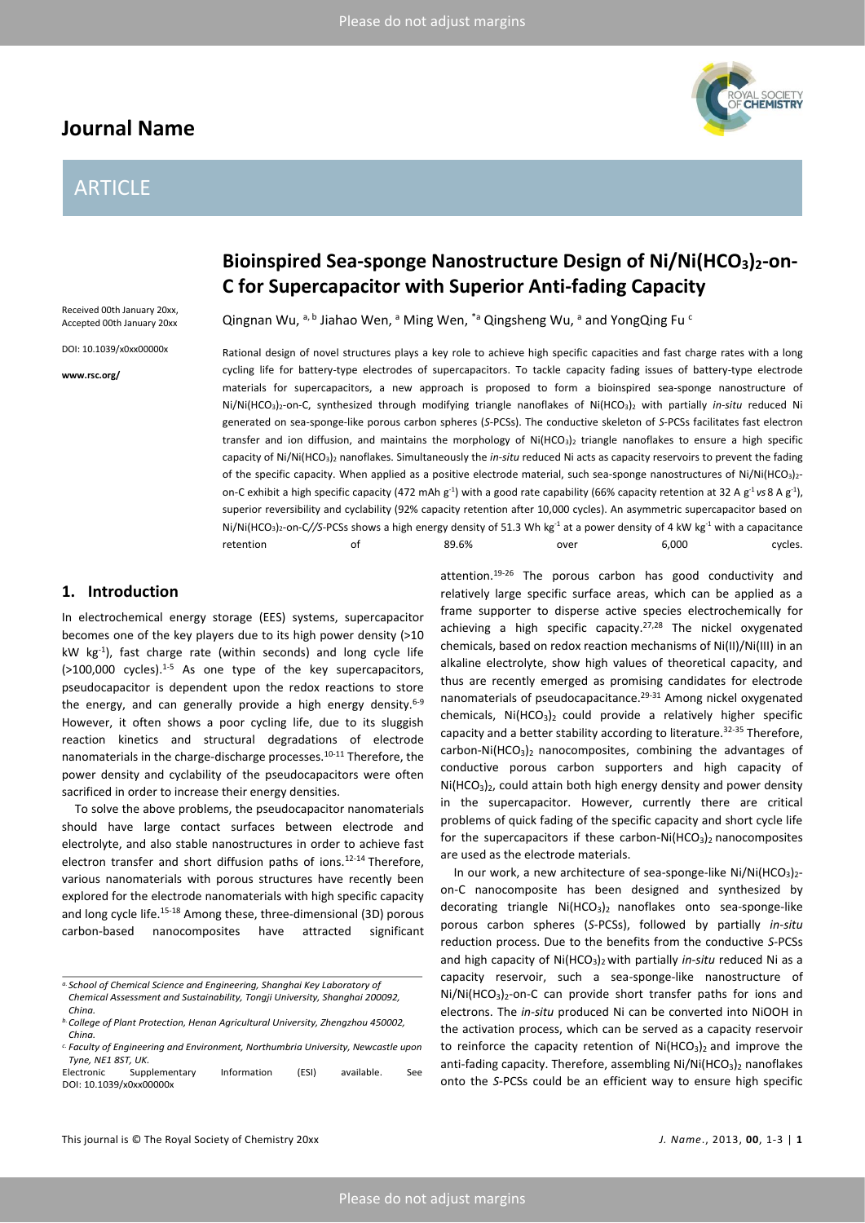# **Journal Name**

# ARTICLE



# **C for Supercapacitor with Superior Anti-fading Capacity**

Received 00th January 20xx, Accepted 00th January 20xx

DOI: 10.1039/x0xx00000x

**www.rsc.org/**

**Bioinspired Sea-sponge Nanostructure Design of Ni/Ni(HCO3)2-on-**

Qingnan Wu,  $a, b$  Jiahao Wen,  $a$  Ming Wen,  $a$  Qingsheng Wu,  $a$  and Yong Qing Fu  $c$ 

Rational design of novel structures plays a key role to achieve high specific capacities and fast charge rates with a long cycling life for battery-type electrodes of supercapacitors. To tackle capacity fading issues of battery-type electrode materials for supercapacitors, a new approach is proposed to form a bioinspired sea-sponge nanostructure of Ni/Ni(HCO3)2-on-C, synthesized through modifying triangle nanoflakes of Ni(HCO3)<sup>2</sup> with partially *in-situ* reduced Ni generated on sea-sponge-like porous carbon spheres (*S*-PCSs). The conductive skeleton of *S*-PCSs facilitates fast electron transfer and ion diffusion, and maintains the morphology of Ni(HCO<sub>3</sub>)<sub>2</sub> triangle nanoflakes to ensure a high specific capacity of Ni/Ni(HCO3)<sup>2</sup> nanoflakes. Simultaneously the *in*-*situ* reduced Ni acts as capacity reservoirs to prevent the fading of the specific capacity. When applied as a positive electrode material, such sea-sponge nanostructures of Ni/Ni(HCO<sub>3</sub>)<sub>2</sub>on-C exhibit a high specific capacity (472 mAh g<sup>-1</sup>) with a good rate capability (66% capacity retention at 32 A g<sup>-1</sup> vs 8 A g<sup>-1</sup>), superior reversibility and cyclability (92% capacity retention after 10,000 cycles). An asymmetric supercapacitor based on Ni/Ni(HCO<sub>3</sub>)<sub>2</sub>-on-C//S-PCSs shows a high energy density of 51.3 Wh kg<sup>-1</sup> at a power density of 4 kW kg<sup>-1</sup> with a capacitance retention of 89.6% over 6,000 cycles.

## **1. Introduction**

In electrochemical energy storage (EES) systems, supercapacitor becomes one of the key players due to its high power density (>10 kW kg-1 ), fast charge rate (within seconds) and long cycle life  $(>100,000$  cycles).<sup>1-5</sup> As one type of the key supercapacitors, pseudocapacitor is dependent upon the redox reactions to store the energy, and can generally provide a high energy density. $6-9$ However, it often shows a poor cycling life, due to its sluggish reaction kinetics and structural degradations of electrode nanomaterials in the charge-discharge processes.10-11 Therefore, the power density and cyclability of the pseudocapacitors were often sacrificed in order to increase their energy densities.

To solve the above problems, the pseudocapacitor nanomaterials should have large contact surfaces between electrode and electrolyte, and also stable nanostructures in order to achieve fast electron transfer and short diffusion paths of ions.<sup>12-14</sup> Therefore, various nanomaterials with porous structures have recently been explored for the electrode nanomaterials with high specific capacity and long cycle life.<sup>15-18</sup> Among these, three-dimensional (3D) porous carbon-based nanocomposites have attracted significant attention.19-26 The porous carbon has good conductivity and relatively large specific surface areas, which can be applied as a frame supporter to disperse active species electrochemically for achieving a high specific capacity. $27,28$  The nickel oxygenated chemicals, based on redox reaction mechanisms of Ni(II)/Ni(III) in an alkaline electrolyte, show high values of theoretical capacity, and thus are recently emerged as promising candidates for electrode nanomaterials of pseudocapacitance.<sup>29-31</sup> Among nickel oxygenated chemicals,  $Ni(HCO<sub>3</sub>)<sub>2</sub>$  could provide a relatively higher specific capacity and a better stability according to literature.<sup>32-35</sup> Therefore, carbon-Ni(HCO<sub>3</sub>)<sub>2</sub> nanocomposites, combining the advantages of conductive porous carbon supporters and high capacity of  $Ni(HCO<sub>3</sub>)<sub>2</sub>$ , could attain both high energy density and power density in the supercapacitor. However, currently there are critical problems of quick fading of the specific capacity and short cycle life for the supercapacitors if these carbon-Ni $(HCO<sub>3</sub>)<sub>2</sub>$  nanocomposites are used as the electrode materials.

In our work, a new architecture of sea-sponge-like  $Ni/Ni(HCO<sub>3</sub>)<sub>2</sub>$ on-C nanocomposite has been designed and synthesized by decorating triangle  $Ni(HCO<sub>3</sub>)<sub>2</sub>$  nanoflakes onto sea-sponge-like porous carbon spheres (*S*-PCSs), followed by partially *in-situ*  reduction process. Due to the benefits from the conductive *S*-PCSs and high capacity of Ni(HCO<sub>3</sub>)<sub>2</sub> with partially *in-situ* reduced Ni as a capacity reservoir, such a sea-sponge-like nanostructure of  $Ni/Ni(HCO<sub>3</sub>)<sub>2</sub>$ -on-C can provide short transfer paths for ions and electrons. The *in-situ* produced Ni can be converted into NiOOH in the activation process, which can be served as a capacity reservoir to reinforce the capacity retention of  $Ni(HCO<sub>3</sub>)<sub>2</sub>$  and improve the anti-fading capacity. Therefore, assembling  $Ni/Ni(HCO<sub>3</sub>)$ , nanoflakes onto the *S*-PCSs could be an efficient way to ensure high specific

*a.School of Chemical Science and Engineering, Shanghai Key Laboratory of Chemical Assessment and Sustainability, Tongji University, Shanghai 200092, China.*

*b.College of Plant Protection, Henan Agricultural University, Zhengzhou 450002, China.*

*c. Faculty of Engineering and Environment, Northumbria University, Newcastle upon Tyne, NE1 8ST, UK.*

Electronic Supplementary Information (ESI) available. See DOI: 10.1039/x0xx00000x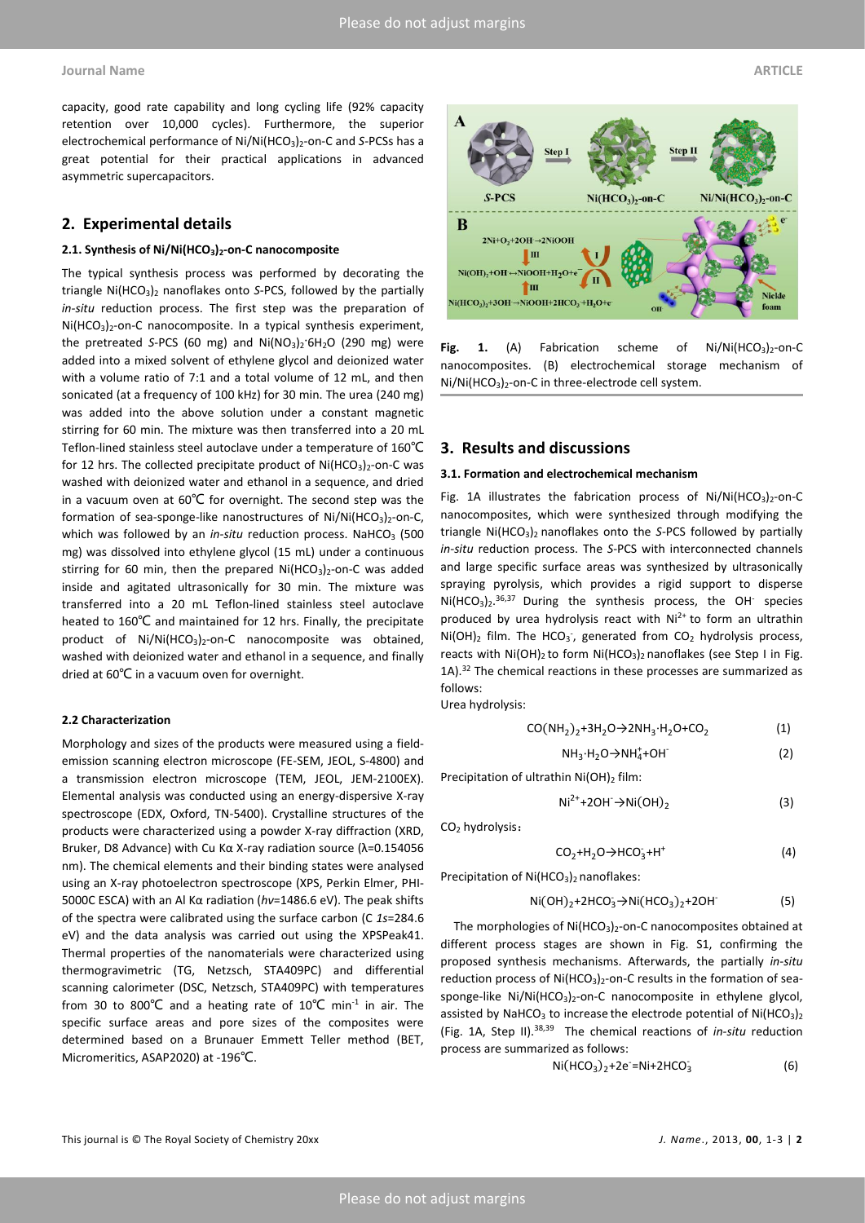capacity, good rate capability and long cycling life (92% capacity retention over 10,000 cycles). Furthermore, the superior electrochemical performance of Ni/Ni(HCO<sub>3</sub>)<sub>2</sub>-on-C and *S*-PCSs has a great potential for their practical applications in advanced asymmetric supercapacitors.

## **2. Experimental details**

#### **2.1. Synthesis of Ni/Ni(HCO3)2-on-C nanocomposite**

The typical synthesis process was performed by decorating the triangle Ni(HCO3)<sup>2</sup> nanoflakes onto *S*-PCS, followed by the partially *in-situ* reduction process. The first step was the preparation of Ni(HCO<sub>3</sub>)<sub>2</sub>-on-C nanocomposite. In a typical synthesis experiment, the pretreated *S*-PCS (60 mg) and Ni(NO<sub>3</sub>)<sub>2</sub>·6H<sub>2</sub>O (290 mg) were added into a mixed solvent of ethylene glycol and deionized water with a volume ratio of 7:1 and a total volume of 12 mL, and then sonicated (at a frequency of 100 kHz) for 30 min. The urea (240 mg) was added into the above solution under a constant magnetic stirring for 60 min. The mixture was then transferred into a 20 mL Teflon-lined stainless steel autoclave under a temperature of 160℃ for 12 hrs. The collected precipitate product of  $Ni(HCO<sub>3</sub>)<sub>2</sub>$ -on-C was washed with deionized water and ethanol in a sequence, and dried in a vacuum oven at 60℃ for overnight. The second step was the formation of sea-sponge-like nanostructures of  $Ni/Ni(HCO<sub>3</sub>)<sub>2</sub>$ -on-C, which was followed by an *in-situ* reduction process. NaHCO<sub>3</sub> (500) mg) was dissolved into ethylene glycol (15 mL) under a continuous stirring for 60 min, then the prepared  $Ni(HCO<sub>3</sub>)<sub>2</sub>$ -on-C was added inside and agitated ultrasonically for 30 min. The mixture was transferred into a 20 mL Teflon-lined stainless steel autoclave heated to 160℃ and maintained for 12 hrs. Finally, the precipitate product of Ni/Ni(HCO<sub>3</sub>)<sub>2</sub>-on-C nanocomposite was obtained, washed with deionized water and ethanol in a sequence, and finally dried at 60℃ in a vacuum oven for overnight.

#### **2.2 Characterization**

Morphology and sizes of the products were measured using a fieldemission scanning electron microscope (FE-SEM, JEOL, S-4800) and a transmission electron microscope (TEM, JEOL, JEM-2100EX). Elemental analysis was conducted using an energy-dispersive X-ray spectroscope (EDX, Oxford, TN-5400). Crystalline structures of the products were characterized using a powder X-ray diffraction (XRD, Bruker, D8 Advance) with Cu Kα X-ray radiation source (λ=0.154056 nm). The chemical elements and their binding states were analysed using an X-ray photoelectron spectroscope (XPS, Perkin Elmer, PHI-5000C ESCA) with an Al Kα radiation (*hν*=1486.6 eV). The peak shifts of the spectra were calibrated using the surface carbon (C *1s*=284.6 eV) and the data analysis was carried out using the XPSPeak41. Thermal properties of the nanomaterials were characterized using thermogravimetric (TG, Netzsch, STA409PC) and differential scanning calorimeter (DSC, Netzsch, STA409PC) with temperatures from 30 to 800°C and a heating rate of  $10^{\circ}$ C min<sup>-1</sup> in air. The specific surface areas and pore sizes of the composites were determined based on a Brunauer Emmett Teller method (BET, Micromeritics, ASAP2020) at -196℃.



Fig. 1. (A) Fabrication scheme of Ni/Ni(HCO<sub>3</sub>)<sub>2</sub>-on-C nanocomposites. (B) electrochemical storage mechanism of Ni/Ni(HCO3)2-on-C in three-electrode cell system.

#### **3. Results and discussions**

#### **3.1. Formation and electrochemical mechanism**

Fig. 1A illustrates the fabrication process of  $Ni/Ni(HCO<sub>3</sub>)<sub>2</sub>$ -on-C nanocomposites, which were synthesized through modifying the triangle Ni(HCO<sub>3</sub>)<sub>2</sub> nanoflakes onto the *S-PCS* followed by partially *in-situ* reduction process. The *S*-PCS with interconnected channels and large specific surface areas was synthesized by ultrasonically spraying pyrolysis, which provides a rigid support to disperse  $Ni(HCO<sub>3</sub>)<sub>2</sub>$ . 36,37 During the synthesis process, the OH species produced by urea hydrolysis react with  $Ni<sup>2+</sup>$  to form an ultrathin  $Ni(OH)_2$  film. The HCO<sub>3</sub>, generated from CO<sub>2</sub> hydrolysis process, reacts with  $Ni(OH)_2$  to form  $Ni(HCO_3)_2$  nanoflakes (see Step I in Fig. 1A).<sup>32</sup> The chemical reactions in these processes are summarized as follows:

Urea hydrolysis:

$$
CO(NH_2)_2 + 3H_2O \to 2NH_3 \cdot H_2O + CO_2
$$
 (1)

$$
NH_3 \cdot H_2O \rightarrow NH_4^+ + OH^-\tag{2}
$$

Precipitation of ultrathin  $Ni(OH)_2$  film:

$$
Ni^{2+}+2OH\rightarrow Ni(OH)_2
$$
 (3)

CO<sup>2</sup> hydrolysis:

$$
CO2+H2O \rightarrow HCO3+H+
$$
 (4)

Precipitation of  $Ni(HCO<sub>3</sub>)<sub>2</sub>$  nanoflakes:

$$
Ni(OH)_2 + 2HCO_3 \rightarrow Ni(HCO_3)_2 + 2OH
$$
 (5)

The morphologies of Ni(HCO<sub>3</sub>)<sub>2</sub>-on-C nanocomposites obtained at different process stages are shown in Fig. S1, confirming the proposed synthesis mechanisms. Afterwards, the partially *in-situ* reduction process of  $Ni(HCO<sub>3</sub>)<sub>2</sub>$ -on-C results in the formation of seasponge-like Ni/Ni(HCO<sub>3</sub>)<sub>2</sub>-on-C nanocomposite in ethylene glycol, assisted by NaHCO<sub>3</sub> to increase the electrode potential of Ni(HCO<sub>3</sub>)<sub>2</sub> (Fig. 1A, Step II).38,39 The chemical reactions of *in-situ* reduction process are summarized as follows:

$$
Ni(HCO3)2+2e=Ni+2HCO3
$$
 (6)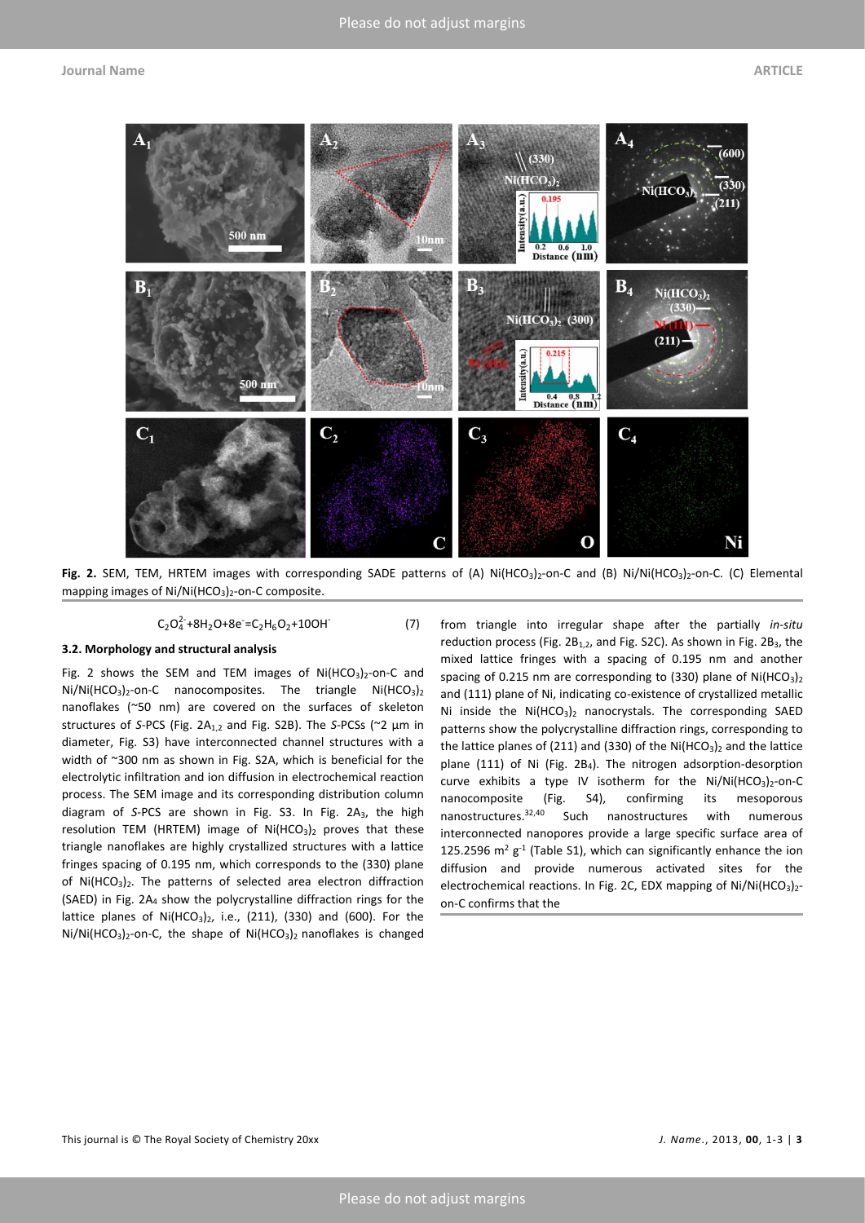

Fig. 2. SEM, TEM, HRTEM images with corresponding SADE patterns of (A) Ni(HCO<sub>3</sub>)<sub>2</sub>-on-C and (B) Ni/Ni(HCO<sub>3</sub>)<sub>2</sub>-on-C. (C) Elemental mapping images of  $Ni/Ni(HCO<sub>3</sub>)<sub>2</sub>$ -on-C composite.

$$
C_2O_4^{2-} + 8H_2O + 8e^- = C_2H_6O_2 + 10OH \tag{7}
$$

# **3.2. Morphology and structural analysis**

Fig. 2 shows the SEM and TEM images of  $Ni(HCO<sub>3</sub>)<sub>2</sub>$ -on-C and  $Ni/HCO<sub>3</sub>)<sub>2</sub>$ -on-C nanocomposites. The triangle  $Ni(HCO<sub>3</sub>)<sub>2</sub>$ nanoflakes (~50 nm) are covered on the surfaces of skeleton structures of *S*-PCS (Fig. 2A1,2 and Fig. S2B). The *S*-PCSs (~2 µm in diameter, Fig. S3) have interconnected channel structures with a width of ~300 nm as shown in Fig. S2A, which is beneficial for the electrolytic infiltration and ion diffusion in electrochemical reaction process. The SEM image and its corresponding distribution column diagram of *S*-PCS are shown in Fig. S3. In Fig. 2A3, the high resolution TEM (HRTEM) image of  $Ni(HCO<sub>3</sub>)<sub>2</sub>$  proves that these triangle nanoflakes are highly crystallized structures with a lattice fringes spacing of 0.195 nm, which corresponds to the (330) plane of  $Ni(HCO<sub>3</sub>)<sub>2</sub>$ . The patterns of selected area electron diffraction (SAED) in Fig. 2A<sup>4</sup> show the polycrystalline diffraction rings for the lattice planes of  $Ni(HCO<sub>3</sub>)<sub>2</sub>$ , i.e., (211), (330) and (600). For the Ni/Ni(HCO<sub>3</sub>)<sub>2</sub>-on-C, the shape of Ni(HCO<sub>3</sub>)<sub>2</sub> nanoflakes is changed

from triangle into irregular shape after the partially *in-situ* reduction process (Fig. 2B<sub>1,2</sub>, and Fig. S2C). As shown in Fig. 2B<sub>3</sub>, the mixed lattice fringes with a spacing of 0.195 nm and another spacing of 0.215 nm are corresponding to (330) plane of  $Ni(HCO<sub>3</sub>)<sub>2</sub>$ and (111) plane of Ni, indicating co-existence of crystallized metallic Ni inside the  $Ni(HCO<sub>3</sub>)<sub>2</sub>$  nanocrystals. The corresponding SAED patterns show the polycrystalline diffraction rings, corresponding to the lattice planes of (211) and (330) of the Ni(HCO<sub>3</sub>)<sub>2</sub> and the lattice plane (111) of Ni (Fig. 2B4). The nitrogen adsorption-desorption curve exhibits a type IV isotherm for the  $Ni/Ni(HCO<sub>3</sub>)<sub>2</sub>$ -on-C nanocomposite (Fig. S4), confirming its mesoporous nanostructures.<sup>32,40</sup> Such nanostructures with numerous interconnected nanopores provide a large specific surface area of 125.2596  $m^2$  g<sup>-1</sup> (Table S1), which can significantly enhance the ion diffusion and provide numerous activated sites for the electrochemical reactions. In Fig. 2C, EDX mapping of  $Ni/Ni(HCO<sub>3</sub>)<sub>2</sub>$ on-C confirms that the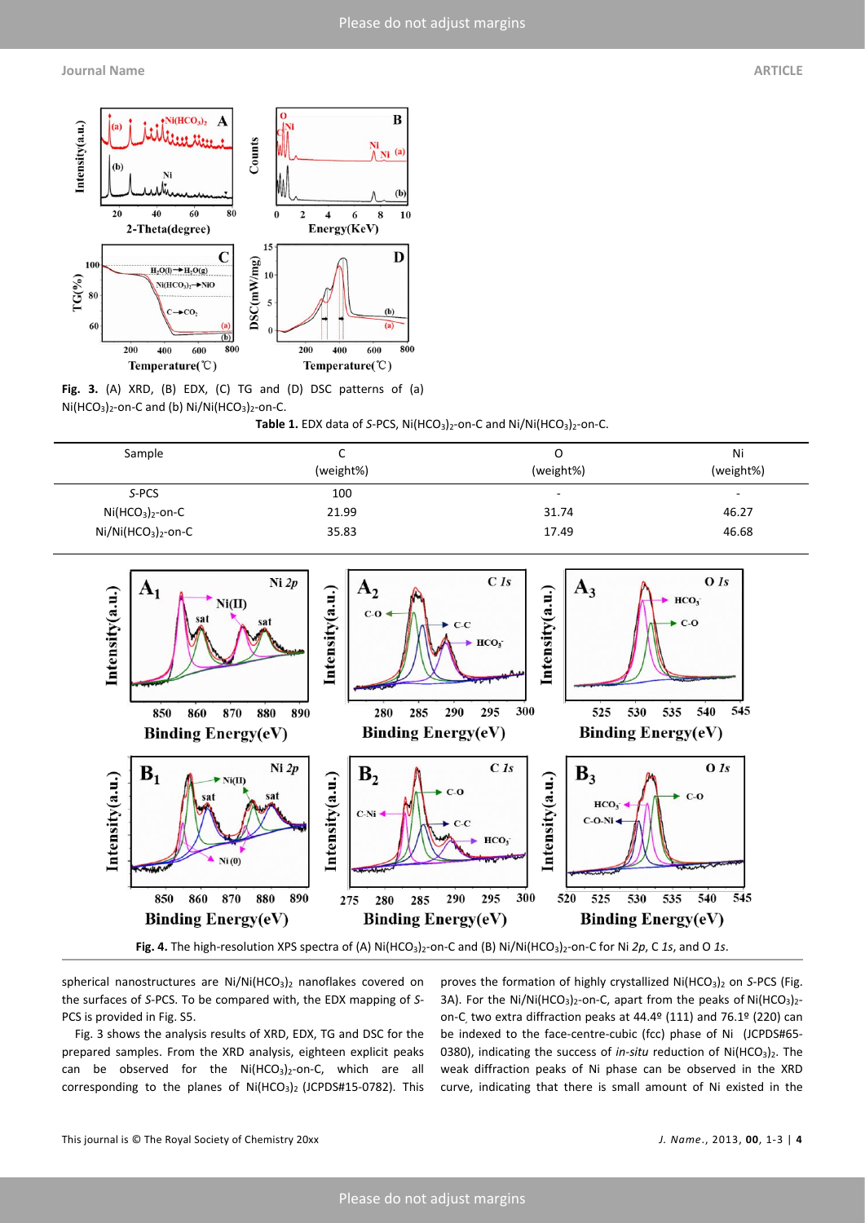**Journal Name ARTICLE**



**Fig. 3.** (A) XRD, (B) EDX, (C) TG and (D) DSC patterns of (a)  $Ni(HCO<sub>3</sub>)<sub>2</sub>$ -on-C and (b)  $Ni/HCO<sub>3</sub>)<sub>2</sub>$ -on-C.

Table 1. EDX data of *S-PCS*, Ni(HCO<sub>3</sub>)<sub>2</sub>-on-C and Ni/Ni(HCO<sub>3</sub>)<sub>2</sub>-on-C.

| Sample               | ֊<br>(weight%) | Ο<br>(weight%) | Ni<br>(weight%)          |
|----------------------|----------------|----------------|--------------------------|
| S-PCS                | 100            | -              | $\overline{\phantom{a}}$ |
| $Ni(HCO3)2$ -on-C    | 21.99          | 31.74          | 46.27                    |
| $Ni/Ni(HCO3)2$ -on-C | 35.83          | 17.49          | 46.68                    |



spherical nanostructures are  $Ni/Ni(HCO<sub>3</sub>)<sub>2</sub>$  nanoflakes covered on the surfaces of *S*-PCS. To be compared with, the EDX mapping of *S*-PCS is provided in Fig. S5.

Fig. 3 shows the analysis results of XRD, EDX, TG and DSC for the prepared samples. From the XRD analysis, eighteen explicit peaks can be observed for the  $Ni(HCO<sub>3</sub>)<sub>2</sub>$ -on-C, which are all corresponding to the planes of Ni(HCO<sub>3</sub>)<sub>2</sub> (JCPDS#15-0782). This proves the formation of highly crystallized Ni(HCO<sub>3</sub>)<sub>2</sub> on *S-PCS* (Fig. 3A). For the Ni/Ni(HCO<sub>3</sub>)<sub>2</sub>-on-C, apart from the peaks of Ni(HCO<sub>3</sub>)<sub>2</sub>on-C, two extra diffraction peaks at 44.4º (111) and 76.1º (220) can be indexed to the face-centre-cubic (fcc) phase of Ni (JCPDS#65- 0380), indicating the success of *in-situ* reduction of Ni(HCO<sub>3</sub>)<sub>2</sub>. The weak diffraction peaks of Ni phase can be observed in the XRD curve, indicating that there is small amount of Ni existed in the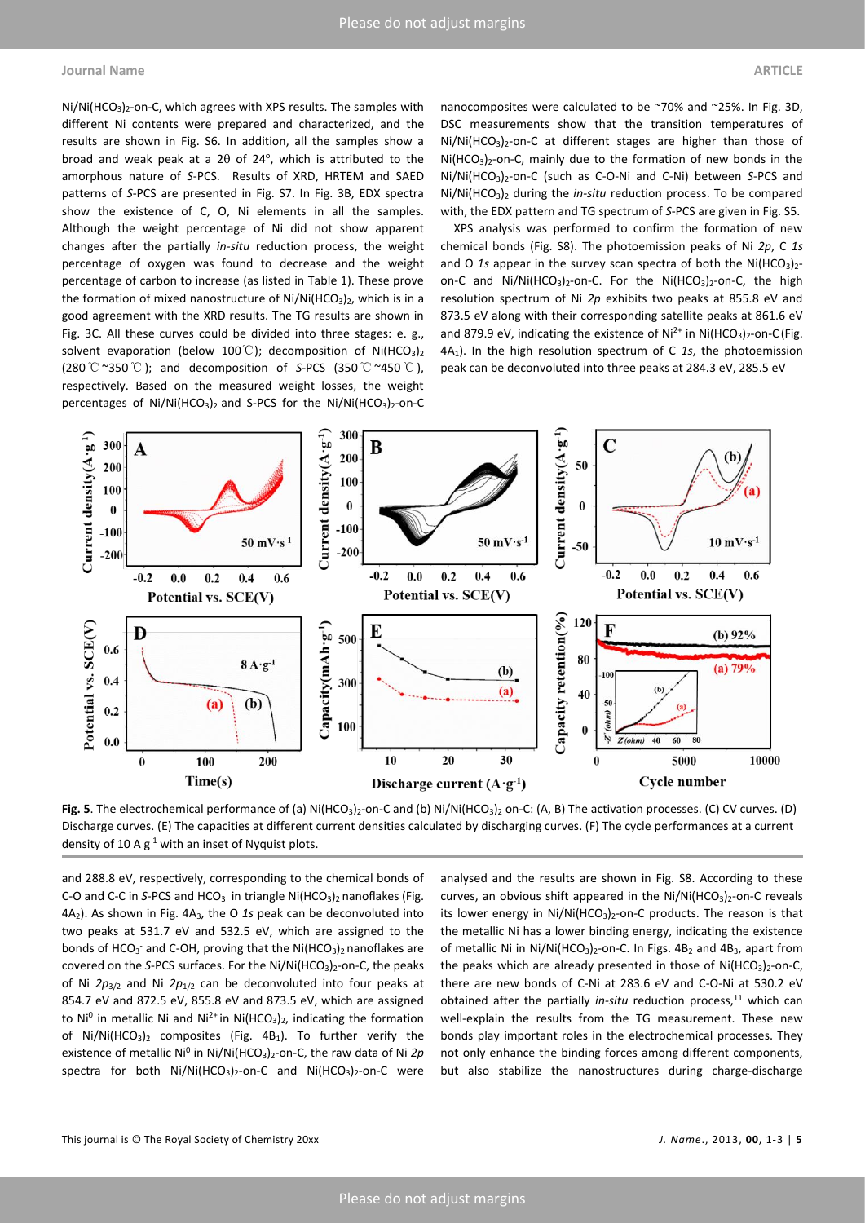#### **Journal Name ARTICLE**

 $Ni/Ni(HCO<sub>3</sub>)<sub>2</sub>$ -on-C, which agrees with XPS results. The samples with different Ni contents were prepared and characterized, and the results are shown in Fig. S6. In addition, all the samples show a broad and weak peak at a  $2\theta$  of  $24^{\circ}$ , which is attributed to the amorphous nature of *S*-PCS. Results of XRD, HRTEM and SAED patterns of *S*-PCS are presented in Fig. S7. In Fig. 3B, EDX spectra show the existence of C, O, Ni elements in all the samples. Although the weight percentage of Ni did not show apparent changes after the partially *in-situ* reduction process, the weight percentage of oxygen was found to decrease and the weight percentage of carbon to increase (as listed in Table 1). These prove the formation of mixed nanostructure of  $Ni/Ni(HCO<sub>3</sub>)<sub>2</sub>$ , which is in a good agreement with the XRD results. The TG results are shown in Fig. 3C. All these curves could be divided into three stages: e. g., solvent evaporation (below 100°C); decomposition of Ni(HCO<sub>3</sub>)<sub>2</sub> (280℃~350℃); and decomposition of *S*-PCS (350℃~450℃), respectively. Based on the measured weight losses, the weight percentages of  $Ni/Ni(HCO<sub>3</sub>)<sub>2</sub>$  and S-PCS for the  $Ni/Ni(HCO<sub>3</sub>)<sub>2</sub>$ -on-C

nanocomposites were calculated to be ~70% and ~25%. In Fig. 3D, DSC measurements show that the transition temperatures of Ni/Ni(HCO<sub>3</sub>)<sub>2</sub>-on-C at different stages are higher than those of  $Ni(HCO<sub>3</sub>)<sub>2</sub>$ -on-C, mainly due to the formation of new bonds in the Ni/Ni(HCO3)2-on-C (such as C-O-Ni and C-Ni) between *S*-PCS and Ni/Ni(HCO<sub>3</sub>)<sub>2</sub> during the *in-situ* reduction process. To be compared with, the EDX pattern and TG spectrum of *S*-PCS are given in Fig. S5.

XPS analysis was performed to confirm the formation of new chemical bonds (Fig. S8). The photoemission peaks of Ni *2p*, C *1s* and O 1s appear in the survey scan spectra of both the  $Ni(HCO<sub>3</sub>)<sub>2</sub>$ on-C and  $Ni/Ni(HCO<sub>3</sub>)<sub>2</sub>$ -on-C. For the  $Ni(HCO<sub>3</sub>)<sub>2</sub>$ -on-C, the high resolution spectrum of Ni *2p* exhibits two peaks at 855.8 eV and 873.5 eV along with their corresponding satellite peaks at 861.6 eV and 879.9 eV, indicating the existence of  $Ni^{2+}$  in Ni(HCO<sub>3</sub>)<sub>2</sub>-on-C (Fig. 4A1). In the high resolution spectrum of C *1s*, the photoemission peak can be deconvoluted into three peaks at 284.3 eV, 285.5 eV



Fig. 5. The electrochemical performance of (a) Ni(HCO<sub>3</sub>)<sub>2</sub>-on-C and (b) Ni/Ni(HCO<sub>3</sub>)<sub>2</sub> on-C: (A, B) The activation processes. (C) CV curves. (D) Discharge curves. (E) The capacities at different current densities calculated by discharging curves. (F) The cycle performances at a current density of 10 A  $g^{-1}$  with an inset of Nyquist plots.

and 288.8 eV, respectively, corresponding to the chemical bonds of C-O and C-C in S-PCS and HCO<sub>3</sub> in triangle Ni(HCO<sub>3</sub>)<sub>2</sub> nanoflakes (Fig. 4A2). As shown in Fig. 4A3, the O *1s* peak can be deconvoluted into two peaks at 531.7 eV and 532.5 eV, which are assigned to the bonds of HCO<sub>3</sub><sup>-</sup> and C-OH, proving that the Ni(HCO<sub>3</sub>)<sub>2</sub> nanoflakes are covered on the *S*-PCS surfaces. For the Ni/Ni(HCO<sub>3</sub>)<sub>2</sub>-on-C, the peaks of Ni *2p*3/2 and Ni *2p*1/2 can be deconvoluted into four peaks at 854.7 eV and 872.5 eV, 855.8 eV and 873.5 eV, which are assigned to Ni<sup>0</sup> in metallic Ni and Ni<sup>2+</sup> in Ni(HCO<sub>3</sub>)<sub>2</sub>, indicating the formation of Ni/Ni(HCO<sub>3</sub>)<sub>2</sub> composites (Fig. 4B<sub>1</sub>). To further verify the existence of metallic Ni<sup>0</sup> in Ni/Ni(HCO<sub>3</sub>)<sub>2</sub>-on-C, the raw data of Ni 2p spectra for both Ni/Ni(HCO<sub>3</sub>)<sub>2</sub>-on-C and Ni(HCO<sub>3</sub>)<sub>2</sub>-on-C were

analysed and the results are shown in Fig. S8. According to these curves, an obvious shift appeared in the  $Ni/Ni(HCO<sub>3</sub>)<sub>2</sub>$ -on-C reveals its lower energy in  $Ni/Ni(HCO<sub>3</sub>)<sub>2</sub>$ -on-C products. The reason is that the metallic Ni has a lower binding energy, indicating the existence of metallic Ni in Ni/Ni(HCO<sub>3</sub>)<sub>2</sub>-on-C. In Figs.  $4B_2$  and  $4B_3$ , apart from the peaks which are already presented in those of  $Ni(HCO<sub>3</sub>)<sub>2</sub>$ -on-C, there are new bonds of C-Ni at 283.6 eV and C-O-Ni at 530.2 eV obtained after the partially *in-situ* reduction process,<sup>11</sup> which can well-explain the results from the TG measurement. These new bonds play important roles in the electrochemical processes. They not only enhance the binding forces among different components, but also stabilize the nanostructures during charge-discharge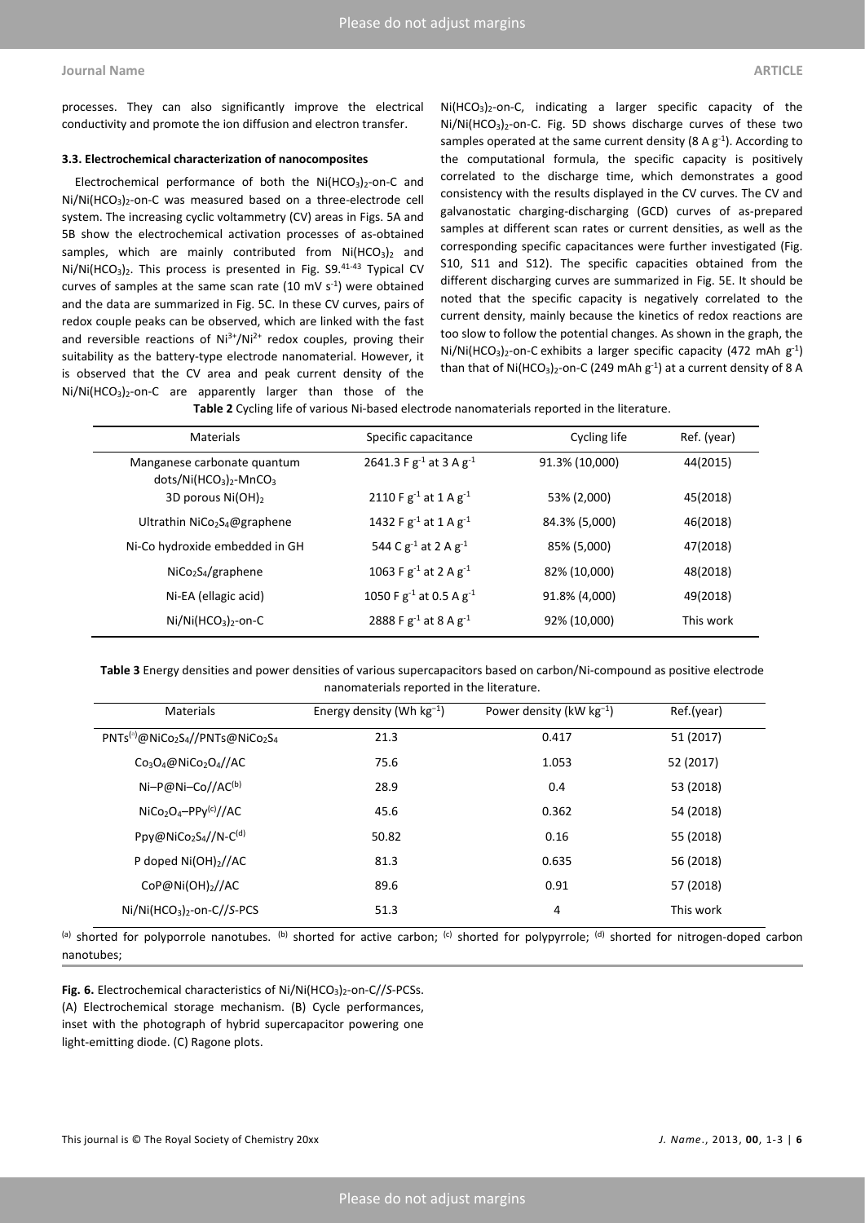processes. They can also significantly improve the electrical conductivity and promote the ion diffusion and electron transfer.

#### **3.3. Electrochemical characterization of nanocomposites**

Electrochemical performance of both the  $Ni(HCO<sub>3</sub>)<sub>2</sub>$ -on-C and Ni/Ni(HCO<sub>3</sub>)<sub>2</sub>-on-C was measured based on a three-electrode cell system. The increasing cyclic voltammetry (CV) areas in Figs. 5A and 5B show the electrochemical activation processes of as-obtained samples, which are mainly contributed from  $Ni(HCO<sub>3</sub>)<sub>2</sub>$  and  $Ni/Ni(HCO<sub>3</sub>)<sub>2</sub>$ . This process is presented in Fig. S9.<sup>41-43</sup> Typical CV curves of samples at the same scan rate  $(10 \text{ mV s}^{-1})$  were obtained and the data are summarized in Fig. 5C. In these CV curves, pairs of redox couple peaks can be observed, which are linked with the fast and reversible reactions of  $Ni^{3+}/Ni^{2+}$  redox couples, proving their suitability as the battery-type electrode nanomaterial. However, it is observed that the CV area and peak current density of the Ni/Ni(HCO<sub>3</sub>)<sub>2</sub>-on-C are apparently larger than those of the

Ni(HCO3)2-on-C, indicating a larger specific capacity of the Ni/Ni(HCO<sub>3</sub>)<sub>2</sub>-on-C. Fig. 5D shows discharge curves of these two samples operated at the same current density (8 A  $g^{-1}$ ). According to the computational formula, the specific capacity is positively correlated to the discharge time, which demonstrates a good consistency with the results displayed in the CV curves. The CV and galvanostatic charging-discharging (GCD) curves of as-prepared samples at different scan rates or current densities, as well as the corresponding specific capacitances were further investigated (Fig. S10, S11 and S12). The specific capacities obtained from the different discharging curves are summarized in Fig. 5E. It should be noted that the specific capacity is negatively correlated to the current density, mainly because the kinetics of redox reactions are too slow to follow the potential changes. As shown in the graph, the Ni/Ni(HCO<sub>3</sub>)<sub>2</sub>-on-C exhibits a larger specific capacity (472 mAh  $g^{-1}$ ) than that of Ni(HCO<sub>3</sub>)<sub>2</sub>-on-C (249 mAh  $g^{-1}$ ) at a current density of 8 A

**Table 2** Cycling life of various Ni-based electrode nanomaterials reported in the literature.

| <b>Materials</b>                                                   | Specific capacitance              | Cycling life   | Ref. (year) |
|--------------------------------------------------------------------|-----------------------------------|----------------|-------------|
| Manganese carbonate quantum<br>$dots/Ni(HCO3)2$ -MnCO <sub>3</sub> | 2641.3 F $g^{-1}$ at 3 A $g^{-1}$ | 91.3% (10,000) | 44(2015)    |
| 3D porous $Ni(OH)_{2}$                                             | 2110 F $g^{-1}$ at 1 A $g^{-1}$   | 53% (2,000)    | 45(2018)    |
| Ultrathin NiCo <sub>2</sub> S <sub>4</sub> @graphene               | 1432 F $g^{-1}$ at 1 A $g^{-1}$   | 84.3% (5,000)  | 46(2018)    |
| Ni-Co hydroxide embedded in GH                                     | 544 C $g^{-1}$ at 2 A $g^{-1}$    | 85% (5,000)    | 47(2018)    |
| $NiCo2S4/graphene$                                                 | 1063 F $g^{-1}$ at 2 A $g^{-1}$   | 82% (10,000)   | 48(2018)    |
| Ni-EA (ellagic acid)                                               | 1050 F $g^{-1}$ at 0.5 A $g^{-1}$ | 91.8% (4,000)  | 49(2018)    |
| $Ni/Ni(HCO3)2$ -on-C                                               | 2888 F $g^{-1}$ at 8 A $g^{-1}$   | 92% (10,000)   | This work   |
|                                                                    |                                   |                |             |

**Table 3** Energy densities and power densities of various supercapacitors based on carbon/Ni-compound as positive electrode nanomaterials reported in the literature.

| <b>Materials</b>                                                                       | Energy density (Wh $kg^{-1}$ ) | Power density ( $kW$ kg <sup>-1</sup> ) | Ref.(year) |
|----------------------------------------------------------------------------------------|--------------------------------|-----------------------------------------|------------|
| $PNTS^{(a)}$ @NiCo <sub>2</sub> S <sub>4</sub> //PNTs@NiCo <sub>2</sub> S <sub>4</sub> | 21.3                           | 0.417                                   | 51 (2017)  |
| $Co_3O_4@NiCo_2O_4//AC$                                                                | 75.6                           | 1.053                                   | 52 (2017)  |
| $Ni-P@Ni-Co//AC(b)$                                                                    | 28.9                           | 0.4                                     | 53 (2018)  |
| $NiCo2O4-PPy(c) // AC$                                                                 | 45.6                           | 0.362                                   | 54 (2018)  |
| Ppy@NiCo <sub>2</sub> S <sub>4</sub> //N-C <sup>(d)</sup>                              | 50.82                          | 0.16                                    | 55 (2018)  |
| P doped $Ni(OH)_{2}/AC$                                                                | 81.3                           | 0.635                                   | 56 (2018)  |
| CoP@Ni(OH)2//AC                                                                        | 89.6                           | 0.91                                    | 57 (2018)  |
| $Ni/Ni(HCO3)2$ -on-C//S-PCS                                                            | 51.3                           | 4                                       | This work  |

<sup>(a)</sup> shorted for polyporrole nanotubes. <sup>(b)</sup> shorted for active carbon; <sup>(c)</sup> shorted for polypyrrole; <sup>(d)</sup> shorted for nitrogen-doped carbon nanotubes;

Fig. 6. Electrochemical characteristics of Ni/Ni(HCO<sub>3</sub>)<sub>2</sub>-on-C//S-PCSs. (A) Electrochemical storage mechanism. (B) Cycle performances, inset with the photograph of hybrid supercapacitor powering one light-emitting diode. (C) Ragone plots.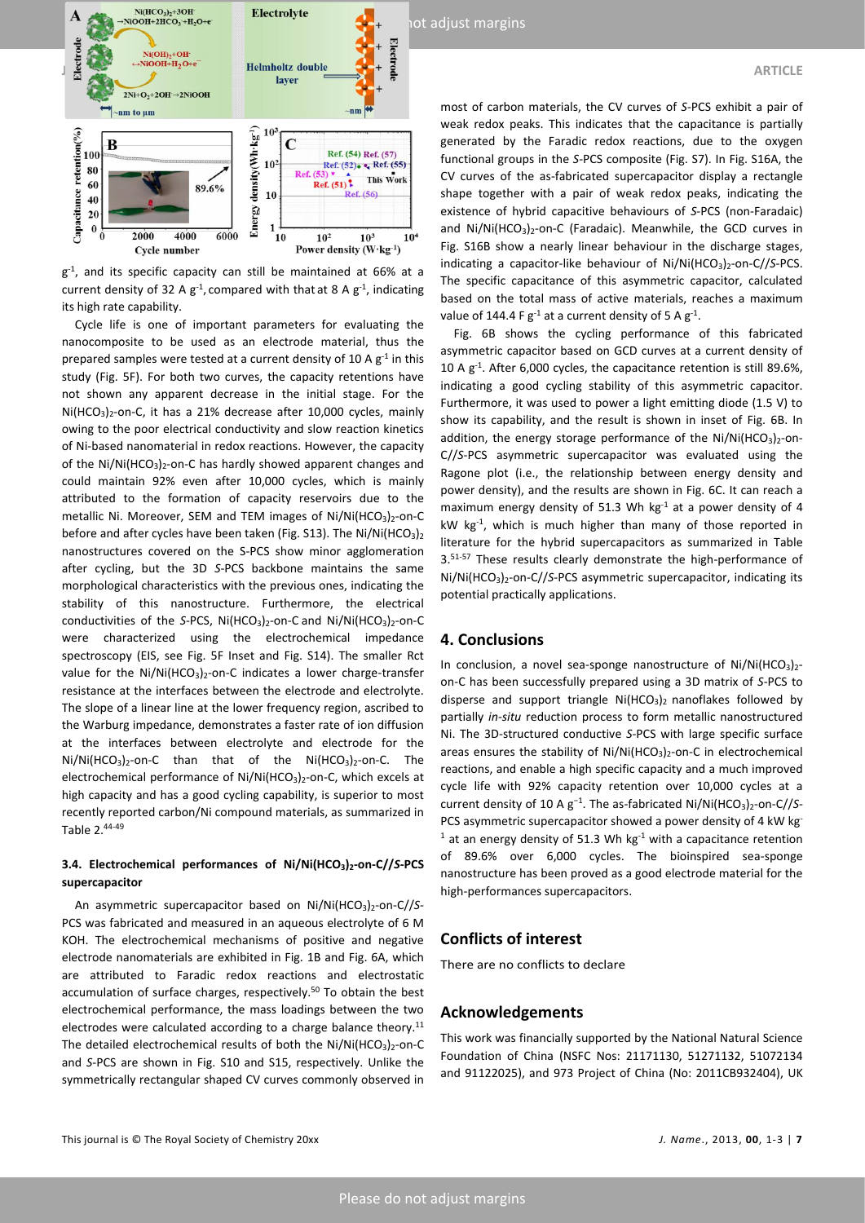

g<sup>-1</sup>, and its specific capacity can still be maintained at 66% at a current density of 32 A  $g^{-1}$ , compared with that at 8 A  $g^{-1}$ , indicating its high rate capability.

Cycle life is one of important parameters for evaluating the nanocomposite to be used as an electrode material, thus the prepared samples were tested at a current density of 10 A  $g^{-1}$  in this study (Fig. 5F). For both two curves, the capacity retentions have not shown any apparent decrease in the initial stage. For the  $Ni(HCO<sub>3</sub>)<sub>2</sub>$ -on-C, it has a 21% decrease after 10,000 cycles, mainly owing to the poor electrical conductivity and slow reaction kinetics of Ni-based nanomaterial in redox reactions. However, the capacity of the Ni/Ni(HCO<sub>3</sub>)<sub>2</sub>-on-C has hardly showed apparent changes and could maintain 92% even after 10,000 cycles, which is mainly attributed to the formation of capacity reservoirs due to the metallic Ni. Moreover, SEM and TEM images of Ni/Ni(HCO<sub>3</sub>)<sub>2</sub>-on-C before and after cycles have been taken (Fig. S13). The Ni/Ni(HCO<sub>3</sub>)<sub>2</sub> nanostructures covered on the S-PCS show minor agglomeration after cycling, but the 3D *S*-PCS backbone maintains the same morphological characteristics with the previous ones, indicating the stability of this nanostructure. Furthermore, the electrical conductivities of the *S*-PCS, Ni(HCO<sub>3</sub>)<sub>2</sub>-on-C and Ni/Ni(HCO<sub>3</sub>)<sub>2</sub>-on-C were characterized using the electrochemical impedance spectroscopy (EIS, see Fig. 5F Inset and Fig. S14). The smaller Rct value for the  $Ni/Ni(HCO<sub>3</sub>)<sub>2</sub>$ -on-C indicates a lower charge-transfer resistance at the interfaces between the electrode and electrolyte. The slope of a linear line at the lower frequency region, ascribed to the Warburg impedance, demonstrates a faster rate of ion diffusion at the interfaces between electrolyte and electrode for the  $Ni/Ni(HCO<sub>3</sub>)<sub>2</sub>$ -on-C than that of the  $Ni(HCO<sub>3</sub>)<sub>2</sub>$ -on-C. The electrochemical performance of  $Ni/Ni(HCO<sub>3</sub>)<sub>2</sub>$ -on-C, which excels at high capacity and has a good cycling capability, is superior to most recently reported carbon/Ni compound materials, as summarized in Table 2.<sup>44-49</sup>

# **3.4. Electrochemical performances of Ni/Ni(HCO3)2-on-C//***S***-PCS supercapacitor**

An asymmetric supercapacitor based on Ni/Ni(HCO<sub>3</sub>)<sub>2</sub>-on-C//S-PCS was fabricated and measured in an aqueous electrolyte of 6 M KOH. The electrochemical mechanisms of positive and negative electrode nanomaterials are exhibited in Fig. 1B and Fig. 6A, which are attributed to Faradic redox reactions and electrostatic accumulation of surface charges, respectively.<sup>50</sup> To obtain the best electrochemical performance, the mass loadings between the two electrodes were calculated according to a charge balance theory.<sup>11</sup> The detailed electrochemical results of both the  $Ni/Ni(HCO<sub>3</sub>)<sub>2</sub>$ -on-C and *S*-PCS are shown in Fig. S10 and S15, respectively. Unlike the symmetrically rectangular shaped CV curves commonly observed in

most of carbon materials, the CV curves of *S*-PCS exhibit a pair of weak redox peaks. This indicates that the capacitance is partially generated by the Faradic redox reactions, due to the oxygen functional groups in the *S*-PCS composite (Fig. S7). In Fig. S16A, the CV curves of the as-fabricated supercapacitor display a rectangle shape together with a pair of weak redox peaks, indicating the existence of hybrid capacitive behaviours of *S*-PCS (non-Faradaic) and  $Ni/Ni(HCO<sub>3</sub>)<sub>2</sub>$ -on-C (Faradaic). Meanwhile, the GCD curves in Fig. S16B show a nearly linear behaviour in the discharge stages, indicating a capacitor-like behaviour of Ni/Ni(HCO<sub>3</sub>)<sub>2</sub>-on-C//S-PCS. The specific capacitance of this asymmetric capacitor, calculated based on the total mass of active materials, reaches a maximum value of 144.4 F  $g^{-1}$  at a current density of 5 A  $g^{-1}$ .

Fig. 6B shows the cycling performance of this fabricated asymmetric capacitor based on GCD curves at a current density of 10 A g<sup>-1</sup>. After 6,000 cycles, the capacitance retention is still 89.6%, indicating a good cycling stability of this asymmetric capacitor. Furthermore, it was used to power a light emitting diode (1.5 V) to show its capability, and the result is shown in inset of Fig. 6B. In addition, the energy storage performance of the  $Ni/Ni(HCO<sub>3</sub>)<sub>2</sub>$ -on-C//*S*-PCS asymmetric supercapacitor was evaluated using the Ragone plot (i.e., the relationship between energy density and power density), and the results are shown in Fig. 6C. It can reach a maximum energy density of 51.3 Wh  $kg<sup>-1</sup>$  at a power density of 4 kW kg<sup>-1</sup>, which is much higher than many of those reported in literature for the hybrid supercapacitors as summarized in Table 3.<sup>51-57</sup> These results clearly demonstrate the high-performance of Ni/Ni(HCO<sub>3</sub>)<sub>2</sub>-on-C//S-PCS asymmetric supercapacitor, indicating its potential practically applications.

### **4. Conclusions**

In conclusion, a novel sea-sponge nanostructure of  $Ni/Ni(HCO<sub>3</sub>)<sub>2</sub>$ on-C has been successfully prepared using a 3D matrix of *S*-PCS to disperse and support triangle  $Ni(HCO<sub>3</sub>)<sub>2</sub>$  nanoflakes followed by partially *in-situ* reduction process to form metallic nanostructured Ni. The 3D-structured conductive *S*-PCS with large specific surface areas ensures the stability of  $Ni/Ni(HCO<sub>3</sub>)<sub>2</sub>$ -on-C in electrochemical reactions, and enable a high specific capacity and a much improved cycle life with 92% capacity retention over 10,000 cycles at a current density of 10 A g<sup>−</sup><sup>1</sup> . The as-fabricated Ni/Ni(HCO3)2-on-C//*S*-PCS asymmetric supercapacitor showed a power density of 4 kW kg<sup>-</sup>  $1$  at an energy density of 51.3 Wh kg $1$  with a capacitance retention of 89.6% over 6,000 cycles. The bioinspired sea-sponge nanostructure has been proved as a good electrode material for the high-performances supercapacitors.

# **Conflicts of interest**

There are no conflicts to declare

#### **Acknowledgements**

This work was financially supported by the National Natural Science Foundation of China (NSFC Nos: 21171130, 51271132, 51072134 and 91122025), and 973 Project of China (No: 2011CB932404), UK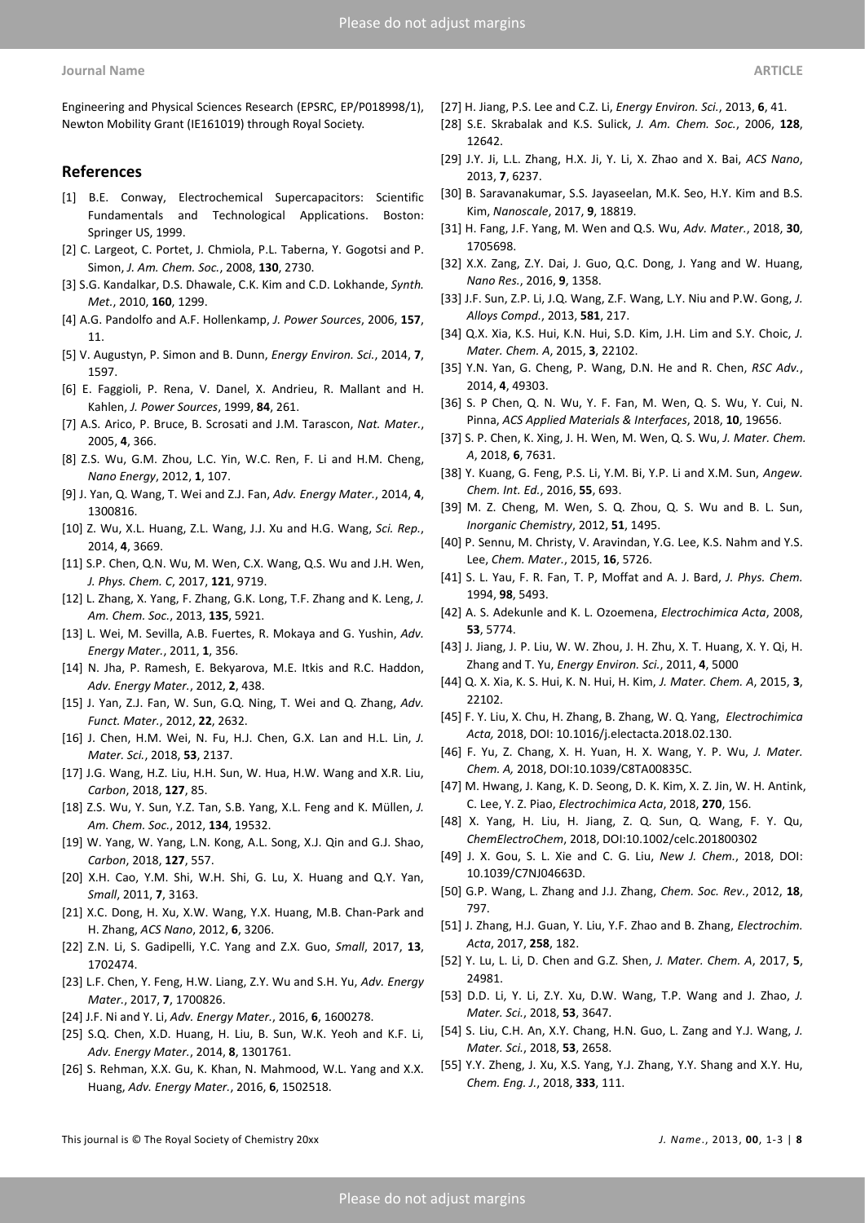Engineering and Physical Sciences Research (EPSRC, EP/P018998/1), Newton Mobility Grant (IE161019) through Royal Society.

### **References**

- [1] B.E. Conway, Electrochemical Supercapacitors: Scientific Fundamentals and Technological Applications. Boston: Springer US, 1999.
- [2] C. Largeot, C. Portet, J. Chmiola, P.L. Taberna, Y. Gogotsi and P. Simon, *J. Am. Chem. Soc.*, 2008, **130**, 2730.
- [3] S.G. Kandalkar, D.S. Dhawale, C.K. Kim and C.D. Lokhande, *Synth. Met.*, 2010, **160**, 1299.
- [4] A.G. Pandolfo and A.F. Hollenkamp, *J. Power Sources*, 2006, **157**, 11.
- [5] V. Augustyn, P. Simon and B. Dunn, *Energy Environ. Sci.*, 2014, **7**, 1597.
- [6] E. Faggioli, P. Rena, V. Danel, X. Andrieu, R. Mallant and H. Kahlen, *J. Power Sources*, 1999, **84**, 261.
- [7] A.S. Arico, P. Bruce, B. Scrosati and J.M. Tarascon, *Nat. Mater.*, 2005, **4**, 366.
- [8] Z.S. Wu, G.M. Zhou, L.C. Yin, W.C. Ren, F. Li and H.M. Cheng, *Nano Energy*, 2012, **1**, 107.
- [9] J. Yan, Q. Wang, T. Wei and Z.J. Fan, *Adv. Energy Mater.*, 2014, **4**, 1300816.
- [10] Z. Wu, X.L. Huang, Z.L. Wang, J.J. Xu and H.G. Wang, *Sci. Rep.*, 2014, **4**, 3669.
- [11] S.P. Chen, Q.N. Wu, M. Wen, C.X. Wang, Q.S. Wu and J.H. Wen, *J. Phys. Chem. C*, 2017, **121**, 9719.
- [12] L. Zhang, X. Yang, F. Zhang, G.K. Long, T.F. Zhang and K. Leng, *J. Am. Chem. Soc.*, 2013, **135**, 5921.
- [13] L. Wei, M. Sevilla, A.B. Fuertes, R. Mokaya and G. Yushin, *Adv. Energy Mater.*, 2011, **1**, 356.
- [14] N. Jha, P. Ramesh, E. Bekyarova, M.E. Itkis and R.C. Haddon, *Adv. Energy Mater.*, 2012, **2**, 438.
- [15] J. Yan, Z.J. Fan, W. Sun, G.Q. Ning, T. Wei and Q. Zhang, *Adv. Funct. Mater.*, 2012, **22**, 2632.
- [16] J. Chen, H.M. Wei, N. Fu, H.J. Chen, G.X. Lan and H.L. Lin, *J. Mater. Sci.*, 2018, **53**, 2137.
- [17] J.G. Wang, H.Z. Liu, H.H. Sun, W. Hua, H.W. Wang and X.R. Liu, *Carbon*, 2018, **127**, 85.
- [18] Z.S. Wu, Y. Sun, Y.Z. Tan, S.B. Yang, X.L. Feng and K. Müllen, *J. Am. Chem. Soc.*, 2012, **134**, 19532.
- [19] W. Yang, W. Yang, L.N. Kong, A.L. Song, X.J. Qin and G.J. Shao, *Carbon*, 2018, **127**, 557.
- [20] X.H. Cao, Y.M. Shi, W.H. Shi, G. Lu, X. Huang and Q.Y. Yan, *Small*, 2011, **7**, 3163.
- [21] X.C. Dong, H. Xu, X.W. Wang, Y.X. Huang, M.B. Chan-Park and H. Zhang, *ACS Nano*, 2012, **6**, 3206.
- [22] Z.N. Li, S. Gadipelli, Y.C. Yang and Z.X. Guo, *Small*, 2017, **13**, 1702474.
- [23] L.F. Chen, Y. Feng, H.W. Liang, Z.Y. Wu and S.H. Yu, *Adv. Energy Mater.*, 2017, **7**, 1700826.
- [24] J.F. Ni and Y. Li, *Adv. Energy Mater.*, 2016, **6**, 1600278.
- [25] S.Q. Chen, X.D. Huang, H. Liu, B. Sun, W.K. Yeoh and K.F. Li, *Adv. Energy Mater.*, 2014, **8**, 1301761.
- [26] S. Rehman, X.X. Gu, K. Khan, N. Mahmood, W.L. Yang and X.X. Huang, *Adv. Energy Mater.*, 2016, **6**, 1502518.
- [27] H. Jiang, P.S. Lee and C.Z. Li, *Energy Environ. Sci.*, 2013, **6**, 41.
- [28] S.E. Skrabalak and K.S. Sulick, *J. Am. Chem. Soc.*, 2006, **128**, 12642.
- [29] J.Y. Ji, L.L. Zhang, H.X. Ji, Y. Li, X. Zhao and X. Bai, *ACS Nano*, 2013, **7**, 6237.
- [30] B. Saravanakumar, S.S. Jayaseelan, M.K. Seo, H.Y. Kim and B.S. Kim, *Nanoscale*, 2017, **9**, 18819.
- [31] H. Fang, J.F. Yang, M. Wen and Q.S. Wu, *Adv. Mater.*, 2018, **30**, 1705698.
- [32] X.X. Zang, Z.Y. Dai, J. Guo, Q.C. Dong, J. Yang and W. Huang, *Nano Res.*, 2016, **9**, 1358.
- [33] J.F. Sun, Z.P. Li, J.Q. Wang, Z.F. Wang, L.Y. Niu and P.W. Gong, *J. Alloys Compd.*, 2013, **581**, 217.
- [34] Q.X. Xia, K.S. Hui, K.N. Hui, S.D. Kim, J.H. Lim and S.Y. Choic, *J. Mater. Chem. A*, 2015, **3**, 22102.
- [35] Y.N. Yan, G. Cheng, P. Wang, D.N. He and R. Chen, *RSC Adv.*, 2014, **4**, 49303.
- [36] S. P Chen, Q. N. Wu, Y. F. Fan, M. Wen, Q. S. Wu, Y. Cui, N. Pinna, *ACS Applied Materials & Interfaces*, 2018, **10**, 19656.
- [37] S. P. Chen, K. Xing, J. H. Wen, M. Wen, Q. S. Wu, *J. Mater. Chem. A*, 2018, **6**, 7631.
- [38] Y. Kuang, G. Feng, P.S. Li, Y.M. Bi, Y.P. Li and X.M. Sun, *Angew. Chem. Int. Ed.*, 2016, **55**, 693.
- [39] M. Z. Cheng, M. Wen, S. Q. Zhou, Q. S. Wu and B. L. Sun, *Inorganic Chemistry*, 2012, **51**, 1495.
- [40] P. Sennu, M. Christy, V. Aravindan, Y.G. Lee, K.S. Nahm and Y.S. Lee, *Chem. Mater.*, 2015, **16**, 5726.
- [41] S. L. Yau, F. R. Fan, T. P, Moffat and A. J. Bard, *J. Phys. Chem.*  1994, **98**, 5493.
- [42] A. S. Adekunle and K. L. Ozoemena, *Electrochimica Acta*, 2008, **53**, 5774.
- [43] J. Jiang, J. P. Liu, W. W. Zhou, J. H. Zhu, X. T. Huang, X. Y. Qi, H. Zhang and T. Yu, *Energy Environ. Sci.*, 2011, **4**, 5000
- [44] Q. X. Xia, K. S. Hui, K. N. Hui, H. Kim, *J. Mater. Chem. A*, 2015, **3**, 22102.
- [45] F. Y. Liu, X. Chu, H. Zhang, B. Zhang, W. Q. Yang, *Electrochimica Acta,* 2018, DOI: 10.1016/j.electacta.2018.02.130.
- [46] F. Yu, Z. Chang, X. H. Yuan, H. X. Wang, Y. P. Wu, *J. Mater. Chem. A,* 2018, DOI:10.1039/C8TA00835C.
- [47] M. Hwang, J. Kang, K. D. Seong, D. K. Kim, X. Z. Jin, W. H. Antink, C. Lee, Y. Z. Piao, *Electrochimica Acta*, 2018, **270**, 156.
- [48] X. Yang, H. Liu, H. Jiang, Z. Q. Sun, Q. Wang, F. Y. Qu, *ChemElectroChem*, 2018, DOI:10.1002/celc.201800302
- [49] J. X. Gou, S. L. Xie and C. G. Liu, *New J. Chem.*, 2018, DOI: 10.1039/C7NJ04663D.
- [50] G.P. Wang, L. Zhang and J.J. Zhang, *Chem. Soc. Rev.*, 2012, **18**, 797.
- [51] J. Zhang, H.J. Guan, Y. Liu, Y.F. Zhao and B. Zhang, *Electrochim. Acta*, 2017, **258**, 182.
- [52] Y. Lu, L. Li, D. Chen and G.Z. Shen, *J. Mater. Chem. A*, 2017, **5**, 24981.
- [53] D.D. Li, Y. Li, Z.Y. Xu, D.W. Wang, T.P. Wang and J. Zhao, *J. Mater. Sci.*, 2018, **53**, 3647.
- [54] S. Liu, C.H. An, X.Y. Chang, H.N. Guo, L. Zang and Y.J. Wang, *J. Mater. Sci.*, 2018, **53**, 2658.
- [55] Y.Y. Zheng, J. Xu, X.S. Yang, Y.J. Zhang, Y.Y. Shang and X.Y. Hu, *Chem. Eng. J.*, 2018, **333**, 111.

This journal is © The Royal Society of Chemistry 20xx *J. Name*., 2013, **00**, 1-3 | **8**